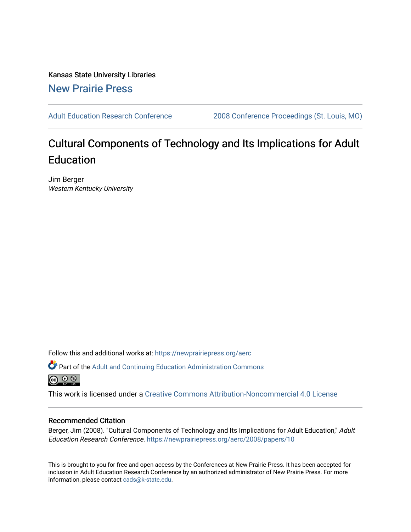Kansas State University Libraries [New Prairie Press](https://newprairiepress.org/) 

[Adult Education Research Conference](https://newprairiepress.org/aerc) [2008 Conference Proceedings \(St. Louis, MO\)](https://newprairiepress.org/aerc/2008) 

# Cultural Components of Technology and Its Implications for Adult Education

Jim Berger Western Kentucky University

Follow this and additional works at: [https://newprairiepress.org/aerc](https://newprairiepress.org/aerc?utm_source=newprairiepress.org%2Faerc%2F2008%2Fpapers%2F10&utm_medium=PDF&utm_campaign=PDFCoverPages)

Part of the [Adult and Continuing Education Administration Commons](http://network.bepress.com/hgg/discipline/789?utm_source=newprairiepress.org%2Faerc%2F2008%2Fpapers%2F10&utm_medium=PDF&utm_campaign=PDFCoverPages) <u>ெ ெ ⊜</u>

This work is licensed under a [Creative Commons Attribution-Noncommercial 4.0 License](https://creativecommons.org/licenses/by-nc/4.0/)

## Recommended Citation

Berger, Jim (2008). "Cultural Components of Technology and Its Implications for Adult Education," Adult Education Research Conference. <https://newprairiepress.org/aerc/2008/papers/10>

This is brought to you for free and open access by the Conferences at New Prairie Press. It has been accepted for inclusion in Adult Education Research Conference by an authorized administrator of New Prairie Press. For more information, please contact [cads@k-state.edu](mailto:cads@k-state.edu).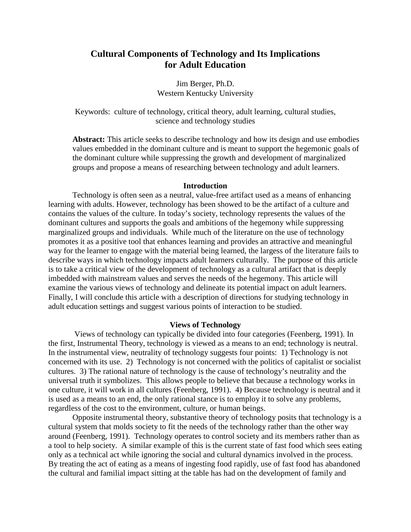## **Cultural Components of Technology and Its Implications for Adult Education**

Jim Berger, Ph.D. Western Kentucky University

Keywords: culture of technology, critical theory, adult learning, cultural studies, science and technology studies

**Abstract:** This article seeks to describe technology and how its design and use embodies values embedded in the dominant culture and is meant to support the hegemonic goals of the dominant culture while suppressing the growth and development of marginalized groups and propose a means of researching between technology and adult learners.

#### **Introduction**

Technology is often seen as a neutral, value-free artifact used as a means of enhancing learning with adults. However, technology has been showed to be the artifact of a culture and contains the values of the culture. In today's society, technology represents the values of the dominant cultures and supports the goals and ambitions of the hegemony while suppressing marginalized groups and individuals. While much of the literature on the use of technology promotes it as a positive tool that enhances learning and provides an attractive and meaningful way for the learner to engage with the material being learned, the largess of the literature fails to describe ways in which technology impacts adult learners culturally. The purpose of this article is to take a critical view of the development of technology as a cultural artifact that is deeply imbedded with mainstream values and serves the needs of the hegemony. This article will examine the various views of technology and delineate its potential impact on adult learners. Finally, I will conclude this article with a description of directions for studying technology in adult education settings and suggest various points of interaction to be studied.

#### **Views of Technology**

 Views of technology can typically be divided into four categories (Feenberg, 1991). In the first, Instrumental Theory, technology is viewed as a means to an end; technology is neutral. In the instrumental view, neutrality of technology suggests four points: 1) Technology is not concerned with its use. 2) Technology is not concerned with the politics of capitalist or socialist cultures. 3) The rational nature of technology is the cause of technology's neutrality and the universal truth it symbolizes. This allows people to believe that because a technology works in one culture, it will work in all cultures (Feenberg, 1991). 4) Because technology is neutral and it is used as a means to an end, the only rational stance is to employ it to solve any problems, regardless of the cost to the environment, culture, or human beings.

 Opposite instrumental theory, substantive theory of technology posits that technology is a cultural system that molds society to fit the needs of the technology rather than the other way around (Feenberg, 1991). Technology operates to control society and its members rather than as a tool to help society. A similar example of this is the current state of fast food which sees eating only as a technical act while ignoring the social and cultural dynamics involved in the process. By treating the act of eating as a means of ingesting food rapidly, use of fast food has abandoned the cultural and familial impact sitting at the table has had on the development of family and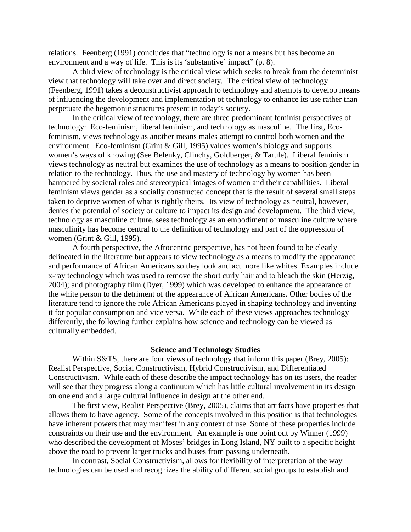relations. Feenberg (1991) concludes that "technology is not a means but has become an environment and a way of life. This is its 'substantive' impact" (p. 8).

 A third view of technology is the critical view which seeks to break from the determinist view that technology will take over and direct society. The critical view of technology (Feenberg, 1991) takes a deconstructivist approach to technology and attempts to develop means of influencing the development and implementation of technology to enhance its use rather than perpetuate the hegemonic structures present in today's society.

In the critical view of technology, there are three predominant feminist perspectives of technology: Eco-feminism, liberal feminism, and technology as masculine. The first, Ecofeminism, views technology as another means males attempt to control both women and the environment. Eco-feminism (Grint & Gill, 1995) values women's biology and supports women's ways of knowing (See Belenky, Clinchy, Goldberger, & Tarule). Liberal feminism views technology as neutral but examines the use of technology as a means to position gender in relation to the technology. Thus, the use and mastery of technology by women has been hampered by societal roles and stereotypical images of women and their capabilities. Liberal feminism views gender as a socially constructed concept that is the result of several small steps taken to deprive women of what is rightly theirs. Its view of technology as neutral, however, denies the potential of society or culture to impact its design and development. The third view, technology as masculine culture, sees technology as an embodiment of masculine culture where masculinity has become central to the definition of technology and part of the oppression of women (Grint & Gill, 1995).

A fourth perspective, the Afrocentric perspective, has not been found to be clearly delineated in the literature but appears to view technology as a means to modify the appearance and performance of African Americans so they look and act more like whites. Examples include x-ray technology which was used to remove the short curly hair and to bleach the skin (Herzig, 2004); and photography film (Dyer, 1999) which was developed to enhance the appearance of the white person to the detriment of the appearance of African Americans. Other bodies of the literature tend to ignore the role African Americans played in shaping technology and inventing it for popular consumption and vice versa. While each of these views approaches technology differently, the following further explains how science and technology can be viewed as culturally embedded.

#### **Science and Technology Studies**

Within S&TS, there are four views of technology that inform this paper (Brey, 2005): Realist Perspective, Social Constructivism, Hybrid Constructivism, and Differentiated Constructivism. While each of these describe the impact technology has on its users, the reader will see that they progress along a continuum which has little cultural involvement in its design on one end and a large cultural influence in design at the other end.

 The first view, Realist Perspective (Brey, 2005), claims that artifacts have properties that allows them to have agency. Some of the concepts involved in this position is that technologies have inherent powers that may manifest in any context of use. Some of these properties include constraints on their use and the environment. An example is one point out by Winner (1999) who described the development of Moses' bridges in Long Island, NY built to a specific height above the road to prevent larger trucks and buses from passing underneath.

 In contrast, Social Constructivism, allows for flexibility of interpretation of the way technologies can be used and recognizes the ability of different social groups to establish and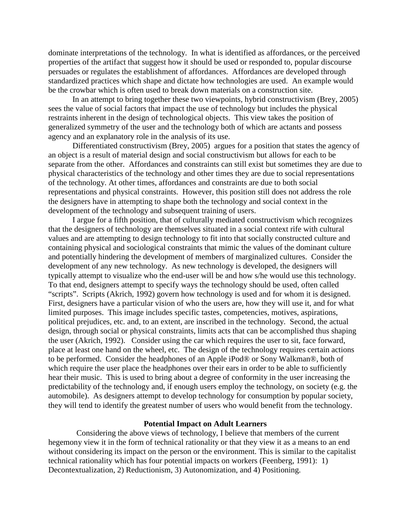dominate interpretations of the technology. In what is identified as affordances, or the perceived properties of the artifact that suggest how it should be used or responded to, popular discourse persuades or regulates the establishment of affordances. Affordances are developed through standardized practices which shape and dictate how technologies are used. An example would be the crowbar which is often used to break down materials on a construction site.

 In an attempt to bring together these two viewpoints, hybrid constructivism (Brey, 2005) sees the value of social factors that impact the use of technology but includes the physical restraints inherent in the design of technological objects. This view takes the position of generalized symmetry of the user and the technology both of which are actants and possess agency and an explanatory role in the analysis of its use.

 Differentiated constructivism (Brey, 2005) argues for a position that states the agency of an object is a result of material design and social constructivism but allows for each to be separate from the other. Affordances and constraints can still exist but sometimes they are due to physical characteristics of the technology and other times they are due to social representations of the technology. At other times, affordances and constraints are due to both social representations and physical constraints. However, this position still does not address the role the designers have in attempting to shape both the technology and social context in the development of the technology and subsequent training of users.

I argue for a fifth position, that of culturally mediated constructivism which recognizes that the designers of technology are themselves situated in a social context rife with cultural values and are attempting to design technology to fit into that socially constructed culture and containing physical and sociological constraints that mimic the values of the dominant culture and potentially hindering the development of members of marginalized cultures. Consider the development of any new technology. As new technology is developed, the designers will typically attempt to visualize who the end-user will be and how s/he would use this technology. To that end, designers attempt to specify ways the technology should be used, often called "scripts". Scripts (Akrich, 1992) govern how technology is used and for whom it is designed. First, designers have a particular vision of who the users are, how they will use it, and for what limited purposes. This image includes specific tastes, competencies, motives, aspirations, political prejudices, etc. and, to an extent, are inscribed in the technology. Second, the actual design, through social or physical constraints, limits acts that can be accomplished thus shaping the user (Akrich, 1992). Consider using the car which requires the user to sit, face forward, place at least one hand on the wheel, etc. The design of the technology requires certain actions to be performed. Consider the headphones of an Apple iPod® or Sony Walkman®, both of which require the user place the headphones over their ears in order to be able to sufficiently hear their music. This is used to bring about a degree of conformity in the user increasing the predictability of the technology and, if enough users employ the technology, on society (e.g. the automobile). As designers attempt to develop technology for consumption by popular society, they will tend to identify the greatest number of users who would benefit from the technology.

#### **Potential Impact on Adult Learners**

 Considering the above views of technology, I believe that members of the current hegemony view it in the form of technical rationality or that they view it as a means to an end without considering its impact on the person or the environment. This is similar to the capitalist technical rationality which has four potential impacts on workers (Feenberg, 1991): 1) Decontextualization, 2) Reductionism, 3) Autonomization, and 4) Positioning.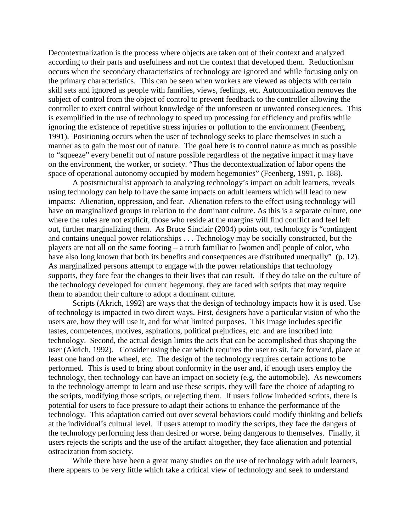Decontextualization is the process where objects are taken out of their context and analyzed according to their parts and usefulness and not the context that developed them. Reductionism occurs when the secondary characteristics of technology are ignored and while focusing only on the primary characteristics. This can be seen when workers are viewed as objects with certain skill sets and ignored as people with families, views, feelings, etc. Autonomization removes the subject of control from the object of control to prevent feedback to the controller allowing the controller to exert control without knowledge of the unforeseen or unwanted consequences. This is exemplified in the use of technology to speed up processing for efficiency and profits while ignoring the existence of repetitive stress injuries or pollution to the environment (Feenberg, 1991). Positioning occurs when the user of technology seeks to place themselves in such a manner as to gain the most out of nature. The goal here is to control nature as much as possible to "squeeze" every benefit out of nature possible regardless of the negative impact it may have on the environment, the worker, or society. "Thus the decontextualization of labor opens the space of operational autonomy occupied by modern hegemonies" (Feenberg, 1991, p. 188).

A poststructuralist approach to analyzing technology's impact on adult learners, reveals using technology can help to have the same impacts on adult learners which will lead to new impacts: Alienation, oppression, and fear. Alienation refers to the effect using technology will have on marginalized groups in relation to the dominant culture. As this is a separate culture, one where the rules are not explicit, those who reside at the margins will find conflict and feel left out, further marginalizing them. As Bruce Sinclair (2004) points out, technology is "contingent and contains unequal power relationships . . . Technology may be socially constructed, but the players are not all on the same footing – a truth familiar to [women and] people of color, who have also long known that both its benefits and consequences are distributed unequally" (p. 12). As marginalized persons attempt to engage with the power relationships that technology supports, they face fear the changes to their lives that can result. If they do take on the culture of the technology developed for current hegemony, they are faced with scripts that may require them to abandon their culture to adopt a dominant culture.

Scripts (Akrich, 1992) are ways that the design of technology impacts how it is used. Use of technology is impacted in two direct ways. First, designers have a particular vision of who the users are, how they will use it, and for what limited purposes. This image includes specific tastes, competences, motives, aspirations, political prejudices, etc. and are inscribed into technology. Second, the actual design limits the acts that can be accomplished thus shaping the user (Akrich, 1992). Consider using the car which requires the user to sit, face forward, place at least one hand on the wheel, etc. The design of the technology requires certain actions to be performed. This is used to bring about conformity in the user and, if enough users employ the technology, then technology can have an impact on society (e.g. the automobile). As newcomers to the technology attempt to learn and use these scripts, they will face the choice of adapting to the scripts, modifying those scripts, or rejecting them. If users follow imbedded scripts, there is potential for users to face pressure to adapt their actions to enhance the performance of the technology. This adaptation carried out over several behaviors could modify thinking and beliefs at the individual's cultural level. If users attempt to modify the scripts, they face the dangers of the technology performing less than desired or worse, being dangerous to themselves. Finally, if users rejects the scripts and the use of the artifact altogether, they face alienation and potential ostracization from society.

While there have been a great many studies on the use of technology with adult learners, there appears to be very little which take a critical view of technology and seek to understand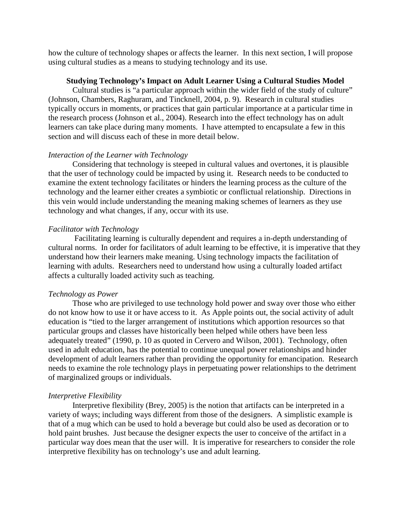how the culture of technology shapes or affects the learner. In this next section, I will propose using cultural studies as a means to studying technology and its use.

## **Studying Technology's Impact on Adult Learner Using a Cultural Studies Model**

 Cultural studies is "a particular approach within the wider field of the study of culture" (Johnson, Chambers, Raghuram, and Tincknell, 2004, p. 9). Research in cultural studies typically occurs in moments, or practices that gain particular importance at a particular time in the research process (Johnson et al., 2004). Research into the effect technology has on adult learners can take place during many moments. I have attempted to encapsulate a few in this section and will discuss each of these in more detail below.

## *Interaction of the Learner with Technology*

Considering that technology is steeped in cultural values and overtones, it is plausible that the user of technology could be impacted by using it. Research needs to be conducted to examine the extent technology facilitates or hinders the learning process as the culture of the technology and the learner either creates a symbiotic or conflictual relationship. Directions in this vein would include understanding the meaning making schemes of learners as they use technology and what changes, if any, occur with its use.

## *Facilitator with Technology*

 Facilitating learning is culturally dependent and requires a in-depth understanding of cultural norms. In order for facilitators of adult learning to be effective, it is imperative that they understand how their learners make meaning. Using technology impacts the facilitation of learning with adults. Researchers need to understand how using a culturally loaded artifact affects a culturally loaded activity such as teaching.

### *Technology as Power*

Those who are privileged to use technology hold power and sway over those who either do not know how to use it or have access to it. As Apple points out, the social activity of adult education is "tied to the larger arrangement of institutions which apportion resources so that particular groups and classes have historically been helped while others have been less adequately treated" (1990, p. 10 as quoted in Cervero and Wilson, 2001). Technology, often used in adult education, has the potential to continue unequal power relationships and hinder development of adult learners rather than providing the opportunity for emancipation. Research needs to examine the role technology plays in perpetuating power relationships to the detriment of marginalized groups or individuals.

#### *Interpretive Flexibility*

Interpretive flexibility (Brey, 2005) is the notion that artifacts can be interpreted in a variety of ways; including ways different from those of the designers. A simplistic example is that of a mug which can be used to hold a beverage but could also be used as decoration or to hold paint brushes. Just because the designer expects the user to conceive of the artifact in a particular way does mean that the user will. It is imperative for researchers to consider the role interpretive flexibility has on technology's use and adult learning.